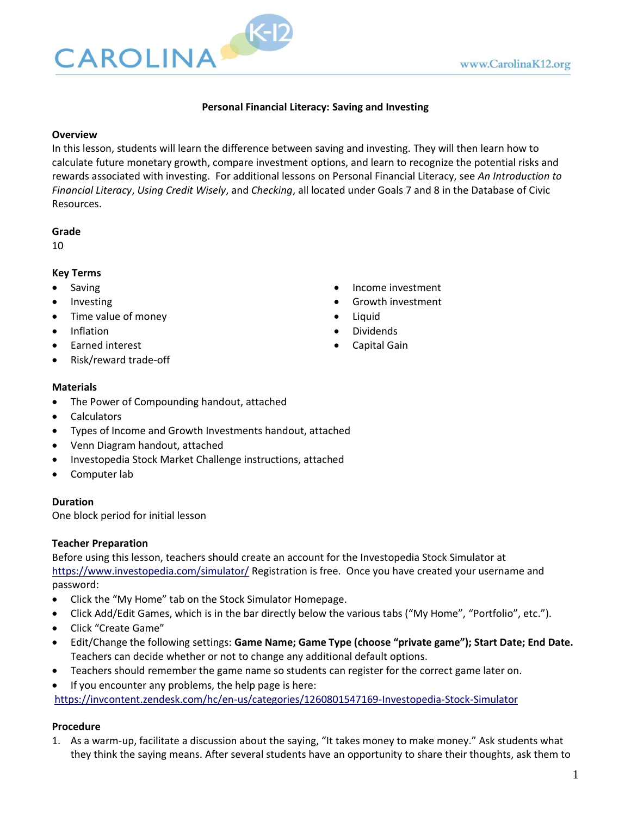

## **Personal Financial Literacy: Saving and Investing**

#### **Overview**

In this lesson, students will learn the difference between saving and investing. They will then learn how to calculate future monetary growth, compare investment options, and learn to recognize the potential risks and rewards associated with investing. For additional lessons on Personal Financial Literacy, see *An Introduction to Financial Literacy*, *Using Credit Wisely*, and *Checking*, all located under Goals 7 and 8 in the Database of Civic Resources.

#### **Grade**

10

#### **Key Terms**

- **Saving**
- Investing
- Time value of money
- Inflation
- Earned interest
- Risk/reward trade-off

#### **Materials**

- The Power of Compounding handout, attached
- Calculators
- Types of Income and Growth Investments handout, attached
- Venn Diagram handout, attached
- Investopedia Stock Market Challenge instructions, attached
- Computer lab

## **Duration**

One block period for initial lesson

#### **Teacher Preparation**

Before using this lesson, teachers should create an account for the Investopedia Stock Simulator at <https://www.investopedia.com/simulator/> Registration is free. Once you have created your username and password:

- Click the "My Home" tab on the Stock Simulator Homepage.
- Click Add/Edit Games, which is in the bar directly below the various tabs ("My Home", "Portfolio", etc.").
- Click "Create Game"
- Edit/Change the following settings: **Game Name; Game Type (choose "private game"); Start Date; End Date.** Teachers can decide whether or not to change any additional default options.
- Teachers should remember the game name so students can register for the correct game later on.
- If you encounter any problems, the help page is here:

<https://invcontent.zendesk.com/hc/en-us/categories/1260801547169-Investopedia-Stock-Simulator>

#### **Procedure**

1. As a warm-up, facilitate a discussion about the saying, "It takes money to make money." Ask students what they think the saying means. After several students have an opportunity to share their thoughts, ask them to

- Income investment
- Growth investment
- Liquid
- Dividends
- Capital Gain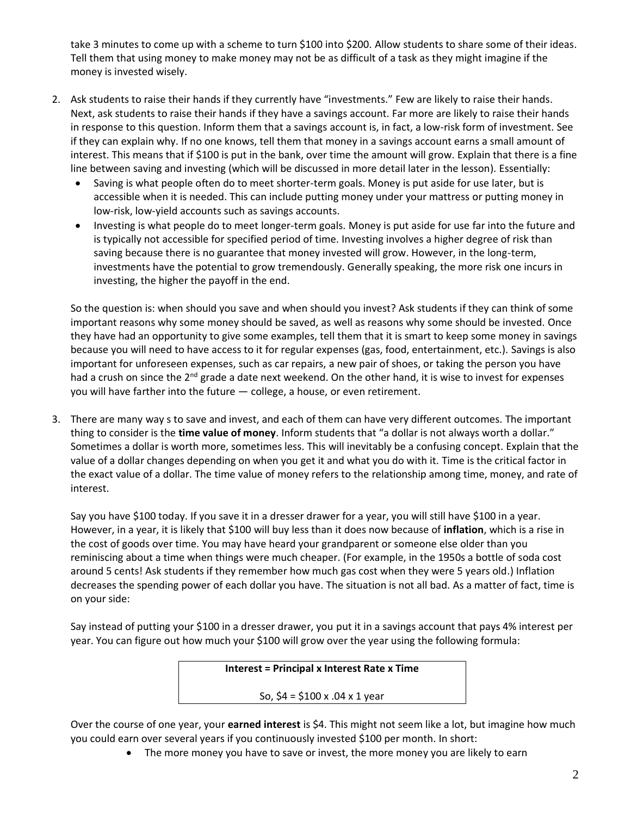take 3 minutes to come up with a scheme to turn \$100 into \$200. Allow students to share some of their ideas. Tell them that using money to make money may not be as difficult of a task as they might imagine if the money is invested wisely.

- 2. Ask students to raise their hands if they currently have "investments." Few are likely to raise their hands. Next, ask students to raise their hands if they have a savings account. Far more are likely to raise their hands in response to this question. Inform them that a savings account is, in fact, a low-risk form of investment. See if they can explain why. If no one knows, tell them that money in a savings account earns a small amount of interest. This means that if \$100 is put in the bank, over time the amount will grow. Explain that there is a fine line between saving and investing (which will be discussed in more detail later in the lesson). Essentially:
	- Saving is what people often do to meet shorter-term goals. Money is put aside for use later, but is accessible when it is needed. This can include putting money under your mattress or putting money in low-risk, low-yield accounts such as savings accounts.
	- Investing is what people do to meet longer-term goals. Money is put aside for use far into the future and is typically not accessible for specified period of time. Investing involves a higher degree of risk than saving because there is no guarantee that money invested will grow. However, in the long-term, investments have the potential to grow tremendously. Generally speaking, the more risk one incurs in investing, the higher the payoff in the end.

So the question is: when should you save and when should you invest? Ask students if they can think of some important reasons why some money should be saved, as well as reasons why some should be invested. Once they have had an opportunity to give some examples, tell them that it is smart to keep some money in savings because you will need to have access to it for regular expenses (gas, food, entertainment, etc.). Savings is also important for unforeseen expenses, such as car repairs, a new pair of shoes, or taking the person you have had a crush on since the  $2^{nd}$  grade a date next weekend. On the other hand, it is wise to invest for expenses you will have farther into the future — college, a house, or even retirement.

3. There are many way s to save and invest, and each of them can have very different outcomes. The important thing to consider is the **time value of money**. Inform students that "a dollar is not always worth a dollar." Sometimes a dollar is worth more, sometimes less. This will inevitably be a confusing concept. Explain that the value of a dollar changes depending on when you get it and what you do with it. Time is the critical factor in the exact value of a dollar. The time value of money refers to the relationship among time, money, and rate of interest.

Say you have \$100 today. If you save it in a dresser drawer for a year, you will still have \$100 in a year. However, in a year, it is likely that \$100 will buy less than it does now because of **inflation**, which is a rise in the cost of goods over time. You may have heard your grandparent or someone else older than you reminiscing about a time when things were much cheaper. (For example, in the 1950s a bottle of soda cost around 5 cents! Ask students if they remember how much gas cost when they were 5 years old.) Inflation decreases the spending power of each dollar you have. The situation is not all bad. As a matter of fact, time is on your side:

Say instead of putting your \$100 in a dresser drawer, you put it in a savings account that pays 4% interest per year. You can figure out how much your \$100 will grow over the year using the following formula:

**Interest = Principal x Interest Rate x Time**

So, \$4 = \$100 x .04 x 1 year

Over the course of one year, your **earned interest** is \$4. This might not seem like a lot, but imagine how much you could earn over several years if you continuously invested \$100 per month. In short:

• The more money you have to save or invest, the more money you are likely to earn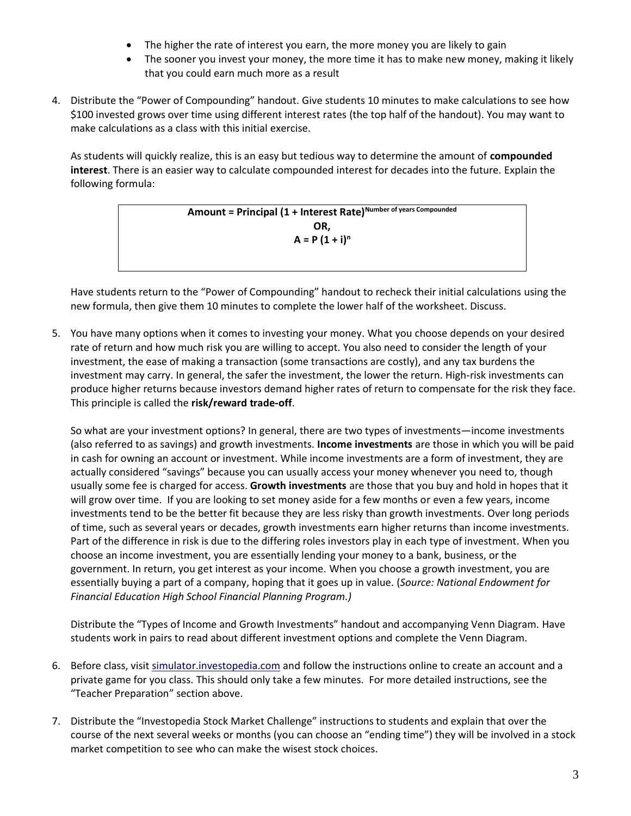- The higher the rate of interest you earn, the more money you are likely to gain
- The sooner you invest your money, the more time it has to make new money, making it likely that you could earn much more as a result
- 4. Distribute the "Power of Compounding" handout. Give students 10 minutes to make calculations to see how \$100 invested grows over time using different interest rates (the top half of the handout). You may want to make calculations as a class with this initial exercise.

As students will quickly realize, this is an easy but tedious way to determine the amount of **compounded interest**. There is an easier way to calculate compounded interest for decades into the future. Explain the following formula:

> **Amount = Principal (1 + Interest Rate)Number of years Compounded OR,**   $A = P(1 + i)^n$

Have students return to the "Power of Compounding" handout to recheck their initial calculations using the new formula, then give them 10 minutes to complete the lower half of the worksheet. Discuss.

5. You have many options when it comes to investing your money. What you choose depends on your desired rate of return and how much risk you are willing to accept. You also need to consider the length of your investment, the ease of making a transaction (some transactions are costly), and any tax burdens the investment may carry. In general, the safer the investment, the lower the return. High-risk investments can produce higher returns because investors demand higher rates of return to compensate for the risk they face. This principle is called the **risk/reward trade-off**.

So what are your investment options? In general, there are two types of investments—income investments (also referred to as savings) and growth investments. **Income investments** are those in which you will be paid in cash for owning an account or investment. While income investments are a form of investment, they are actually considered "savings" because you can usually access your money whenever you need to, though usually some fee is charged for access. **Growth investments** are those that you buy and hold in hopes that it will grow over time. If you are looking to set money aside for a few months or even a few years, income investments tend to be the better fit because they are less risky than growth investments. Over long periods of time, such as several years or decades, growth investments earn higher returns than income investments. Part of the difference in risk is due to the differing roles investors play in each type of investment. When you choose an income investment, you are essentially lending your money to a bank, business, or the government. In return, you get interest as your income. When you choose a growth investment, you are essentially buying a part of a company, hoping that it goes up in value. (*Source: National Endowment for Financial Education High School Financial Planning Program.)*

Distribute the "Types of Income and Growth Investments" handout and accompanying Venn Diagram. Have students work in pairs to read about different investment options and complete the Venn Diagram.

- 6. Before class, visit [simulator.investopedia.com](file:///C:/Users/bonnici/Desktop/LessonPlanUpdates/Paul/C&E/simulator.investopedia.com) and follow the instructions online to create an account and a private game for you class. This should only take a few minutes. For more detailed instructions, see the "Teacher Preparation" section above.
- 7. Distribute the "Investopedia Stock Market Challenge" instructions to students and explain that over the course of the next several weeks or months (you can choose an "ending time") they will be involved in a stock market competition to see who can make the wisest stock choices.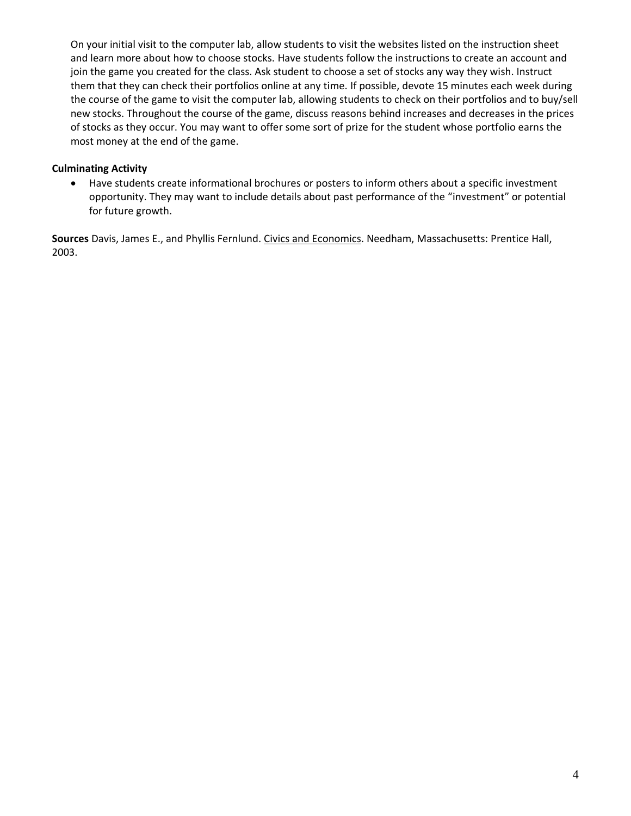On your initial visit to the computer lab, allow students to visit the websites listed on the instruction sheet and learn more about how to choose stocks. Have students follow the instructions to create an account and join the game you created for the class. Ask student to choose a set of stocks any way they wish. Instruct them that they can check their portfolios online at any time. If possible, devote 15 minutes each week during the course of the game to visit the computer lab, allowing students to check on their portfolios and to buy/sell new stocks. Throughout the course of the game, discuss reasons behind increases and decreases in the prices of stocks as they occur. You may want to offer some sort of prize for the student whose portfolio earns the most money at the end of the game.

#### **Culminating Activity**

• Have students create informational brochures or posters to inform others about a specific investment opportunity. They may want to include details about past performance of the "investment" or potential for future growth.

**Sources** Davis, James E., and Phyllis Fernlund. Civics and Economics. Needham, Massachusetts: Prentice Hall, 2003.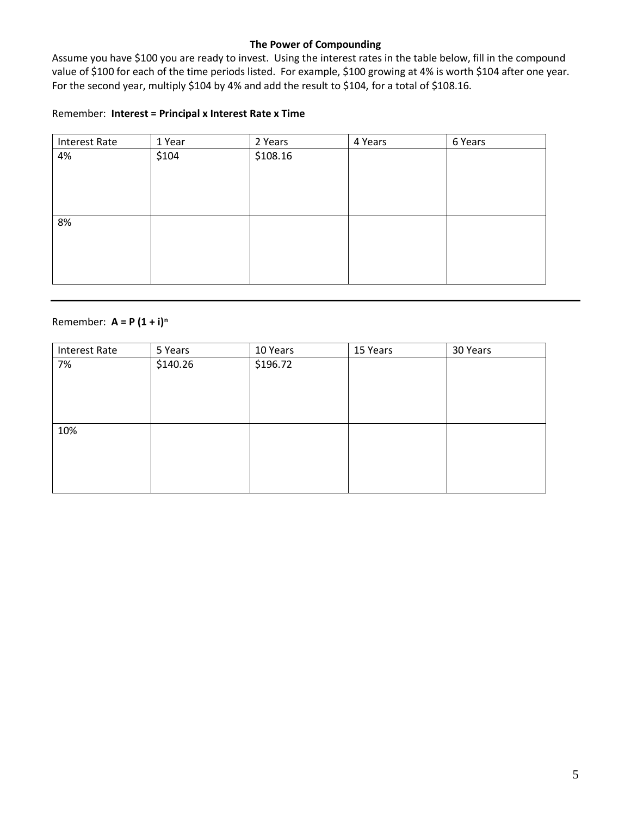#### **The Power of Compounding**

Assume you have \$100 you are ready to invest. Using the interest rates in the table below, fill in the compound value of \$100 for each of the time periods listed. For example, \$100 growing at 4% is worth \$104 after one year. For the second year, multiply \$104 by 4% and add the result to \$104, for a total of \$108.16.

#### Remember: **Interest = Principal x Interest Rate x Time**

| <b>Interest Rate</b> | 1 Year | 2 Years  | 4 Years | 6 Years |
|----------------------|--------|----------|---------|---------|
| 4%                   | \$104  | \$108.16 |         |         |
|                      |        |          |         |         |
|                      |        |          |         |         |
|                      |        |          |         |         |
|                      |        |          |         |         |
| 8%                   |        |          |         |         |
|                      |        |          |         |         |
|                      |        |          |         |         |
|                      |        |          |         |         |
|                      |        |          |         |         |

# Remember: **A = P (1 + i)<sup>n</sup>**

| <b>Interest Rate</b> | 5 Years  | 10 Years | 15 Years | 30 Years |
|----------------------|----------|----------|----------|----------|
| 7%                   | \$140.26 | \$196.72 |          |          |
|                      |          |          |          |          |
|                      |          |          |          |          |
|                      |          |          |          |          |
|                      |          |          |          |          |
| 10%                  |          |          |          |          |
|                      |          |          |          |          |
|                      |          |          |          |          |
|                      |          |          |          |          |
|                      |          |          |          |          |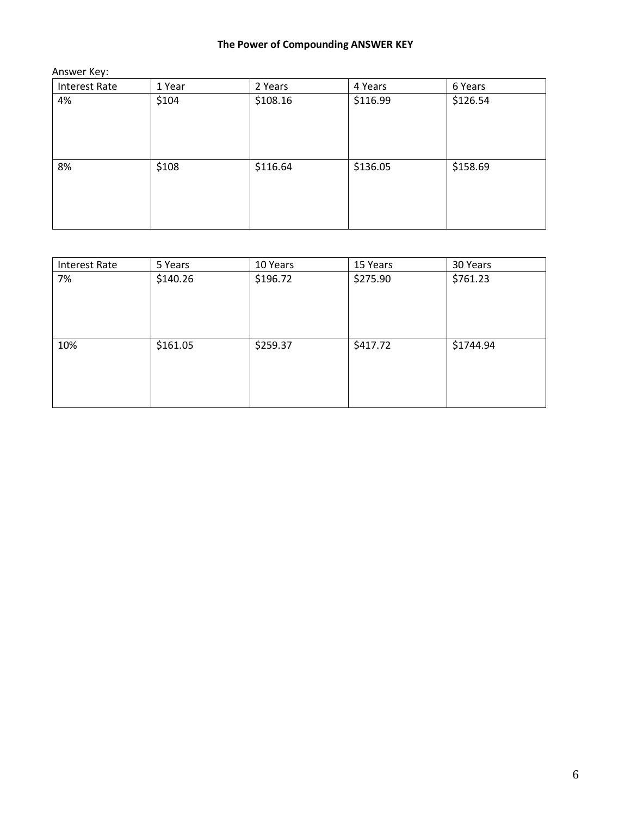# **The Power of Compounding ANSWER KEY**

Answer Key:

| <b>Interest Rate</b> | 1 Year | 2 Years  | 4 Years  | 6 Years  |
|----------------------|--------|----------|----------|----------|
| 4%                   | \$104  | \$108.16 | \$116.99 | \$126.54 |
|                      |        |          |          |          |
| 8%                   | \$108  | \$116.64 | \$136.05 | \$158.69 |
|                      |        |          |          |          |
|                      |        |          |          |          |

| <b>Interest Rate</b> | 5 Years  | 10 Years | 15 Years | 30 Years  |
|----------------------|----------|----------|----------|-----------|
| 7%                   | \$140.26 | \$196.72 | \$275.90 | \$761.23  |
|                      |          |          |          |           |
| 10%                  | \$161.05 | \$259.37 | \$417.72 | \$1744.94 |
|                      |          |          |          |           |
|                      |          |          |          |           |